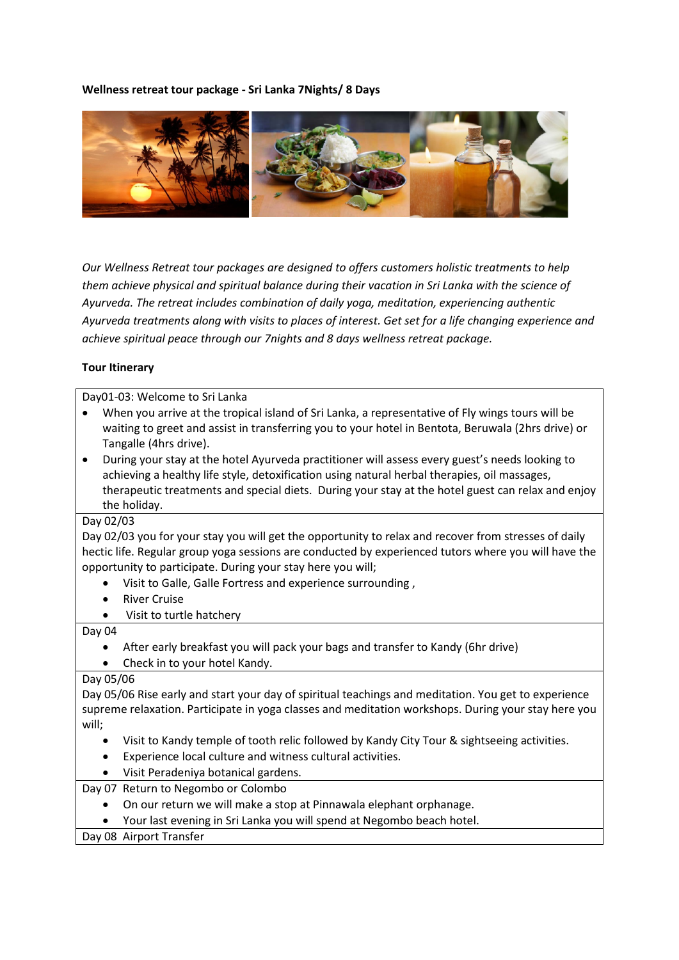## **Wellness retreat tour package - Sri Lanka 7Nights/ 8 Days**



*Our Wellness Retreat tour packages are designed to offers customers holistic treatments to help them achieve physical and spiritual balance during their vacation in Sri Lanka with the science of Ayurveda. The retreat includes combination of daily yoga, meditation, experiencing authentic Ayurveda treatments along with visits to places of interest. Get set for a life changing experience and achieve spiritual peace through our 7nights and 8 days wellness retreat package.*

## **Tour Itinerary**

| Day01-03: Welcome to Sri Lanka                                                                          |
|---------------------------------------------------------------------------------------------------------|
| When you arrive at the tropical island of Sri Lanka, a representative of Fly wings tours will be        |
| waiting to greet and assist in transferring you to your hotel in Bentota, Beruwala (2hrs drive) or      |
| Tangalle (4hrs drive).                                                                                  |
| During your stay at the hotel Ayurveda practitioner will assess every guest's needs looking to          |
| achieving a healthy life style, detoxification using natural herbal therapies, oil massages,            |
| therapeutic treatments and special diets. During your stay at the hotel guest can relax and enjoy       |
| the holiday.                                                                                            |
| Day 02/03                                                                                               |
| Day 02/03 you for your stay you will get the opportunity to relax and recover from stresses of daily    |
| hectic life. Regular group yoga sessions are conducted by experienced tutors where you will have the    |
| opportunity to participate. During your stay here you will;                                             |
| Visit to Galle, Galle Fortress and experience surrounding,                                              |
| <b>River Cruise</b>                                                                                     |
| Visit to turtle hatchery                                                                                |
| Day 04                                                                                                  |
| After early breakfast you will pack your bags and transfer to Kandy (6hr drive)                         |
| Check in to your hotel Kandy.                                                                           |
| Day 05/06                                                                                               |
| Day 05/06 Rise early and start your day of spiritual teachings and meditation. You get to experience    |
| supreme relaxation. Participate in yoga classes and meditation workshops. During your stay here you     |
| will;                                                                                                   |
| Visit to Kandy temple of tooth relic followed by Kandy City Tour & sightseeing activities.<br>$\bullet$ |
| Experience local culture and witness cultural activities.                                               |
| Visit Peradeniya botanical gardens.                                                                     |
| Day 07 Return to Negombo or Colombo                                                                     |
| On our return we will make a stop at Pinnawala elephant orphanage.<br>$\bullet$                         |
| Your last evening in Sri Lanka you will spend at Negombo beach hotel.                                   |
| Day 08 Airport Transfer                                                                                 |